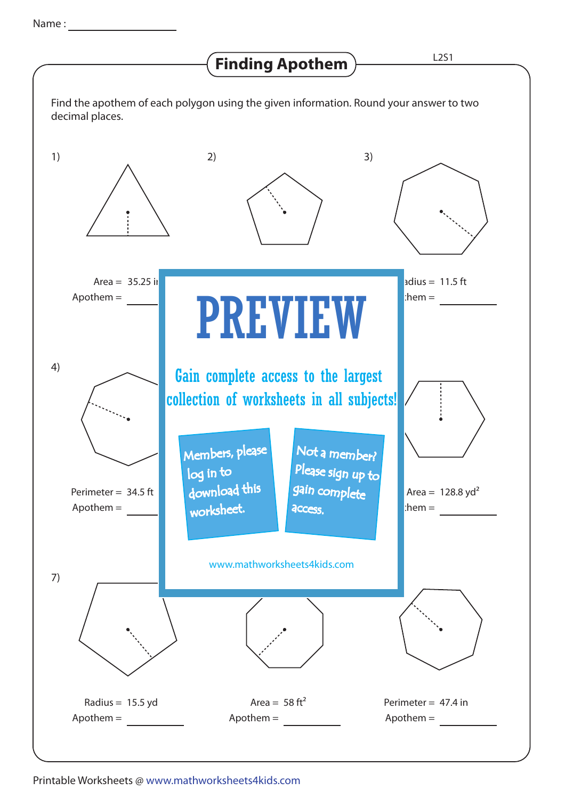Name :